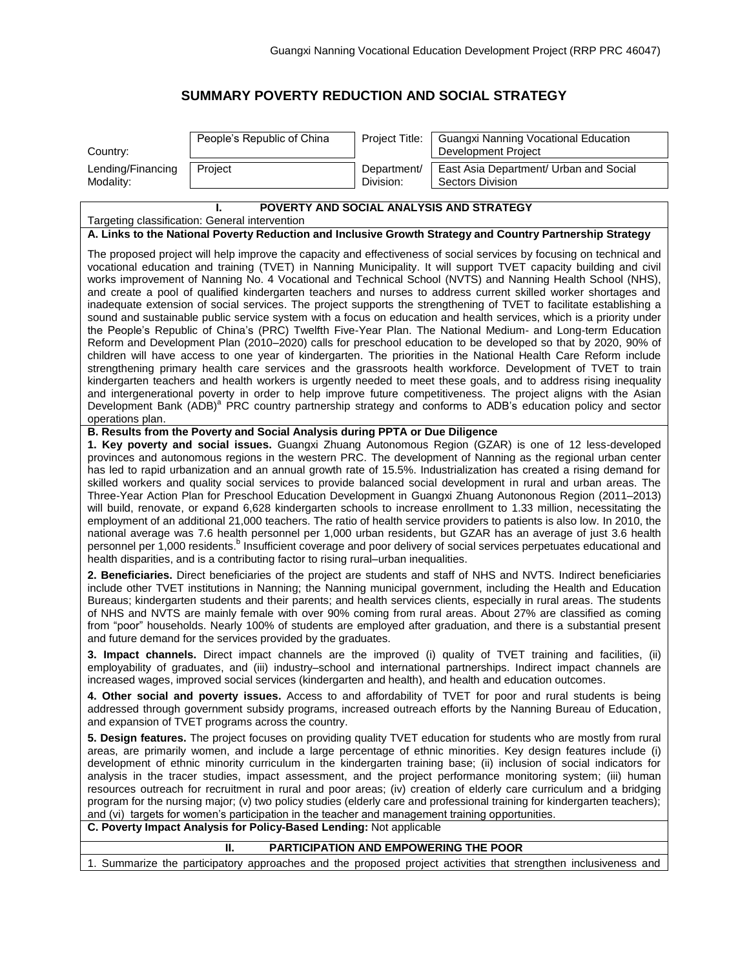## **SUMMARY POVERTY REDUCTION AND SOCIAL STRATEGY**

|                                                                                                                                                                                                                                                                                                                                                                                                                                                                                                                                                                                                                                                                                                                                                                                                                                                                                                                                                                                                                                                                                                                                                                                                                                                                                                                                                                                                                                                                                                                                                                     | People's Republic of China                                                                       | Project Title:           | <b>Guangxi Nanning Vocational Education</b>                                                                                                                                                                                                                                                                                                                                                                                                                                                                                                                                                                                                                                                                                         |  |
|---------------------------------------------------------------------------------------------------------------------------------------------------------------------------------------------------------------------------------------------------------------------------------------------------------------------------------------------------------------------------------------------------------------------------------------------------------------------------------------------------------------------------------------------------------------------------------------------------------------------------------------------------------------------------------------------------------------------------------------------------------------------------------------------------------------------------------------------------------------------------------------------------------------------------------------------------------------------------------------------------------------------------------------------------------------------------------------------------------------------------------------------------------------------------------------------------------------------------------------------------------------------------------------------------------------------------------------------------------------------------------------------------------------------------------------------------------------------------------------------------------------------------------------------------------------------|--------------------------------------------------------------------------------------------------|--------------------------|-------------------------------------------------------------------------------------------------------------------------------------------------------------------------------------------------------------------------------------------------------------------------------------------------------------------------------------------------------------------------------------------------------------------------------------------------------------------------------------------------------------------------------------------------------------------------------------------------------------------------------------------------------------------------------------------------------------------------------------|--|
| Country:                                                                                                                                                                                                                                                                                                                                                                                                                                                                                                                                                                                                                                                                                                                                                                                                                                                                                                                                                                                                                                                                                                                                                                                                                                                                                                                                                                                                                                                                                                                                                            |                                                                                                  |                          | Development Project                                                                                                                                                                                                                                                                                                                                                                                                                                                                                                                                                                                                                                                                                                                 |  |
| Lending/Financing<br>Modality:                                                                                                                                                                                                                                                                                                                                                                                                                                                                                                                                                                                                                                                                                                                                                                                                                                                                                                                                                                                                                                                                                                                                                                                                                                                                                                                                                                                                                                                                                                                                      | Project                                                                                          | Department/<br>Division: | East Asia Department/ Urban and Social<br><b>Sectors Division</b>                                                                                                                                                                                                                                                                                                                                                                                                                                                                                                                                                                                                                                                                   |  |
|                                                                                                                                                                                                                                                                                                                                                                                                                                                                                                                                                                                                                                                                                                                                                                                                                                                                                                                                                                                                                                                                                                                                                                                                                                                                                                                                                                                                                                                                                                                                                                     |                                                                                                  |                          |                                                                                                                                                                                                                                                                                                                                                                                                                                                                                                                                                                                                                                                                                                                                     |  |
| POVERTY AND SOCIAL ANALYSIS AND STRATEGY<br>Targeting classification: General intervention                                                                                                                                                                                                                                                                                                                                                                                                                                                                                                                                                                                                                                                                                                                                                                                                                                                                                                                                                                                                                                                                                                                                                                                                                                                                                                                                                                                                                                                                          |                                                                                                  |                          |                                                                                                                                                                                                                                                                                                                                                                                                                                                                                                                                                                                                                                                                                                                                     |  |
| A. Links to the National Poverty Reduction and Inclusive Growth Strategy and Country Partnership Strategy                                                                                                                                                                                                                                                                                                                                                                                                                                                                                                                                                                                                                                                                                                                                                                                                                                                                                                                                                                                                                                                                                                                                                                                                                                                                                                                                                                                                                                                           |                                                                                                  |                          |                                                                                                                                                                                                                                                                                                                                                                                                                                                                                                                                                                                                                                                                                                                                     |  |
| The proposed project will help improve the capacity and effectiveness of social services by focusing on technical and<br>vocational education and training (TVET) in Nanning Municipality. It will support TVET capacity building and civil<br>works improvement of Nanning No. 4 Vocational and Technical School (NVTS) and Nanning Health School (NHS),<br>and create a pool of qualified kindergarten teachers and nurses to address current skilled worker shortages and<br>inadequate extension of social services. The project supports the strengthening of TVET to facilitate establishing a<br>sound and sustainable public service system with a focus on education and health services, which is a priority under<br>the People's Republic of China's (PRC) Twelfth Five-Year Plan. The National Medium- and Long-term Education<br>Reform and Development Plan (2010–2020) calls for preschool education to be developed so that by 2020, 90% of<br>children will have access to one year of kindergarten. The priorities in the National Health Care Reform include<br>strengthening primary health care services and the grassroots health workforce. Development of TVET to train<br>kindergarten teachers and health workers is urgently needed to meet these goals, and to address rising inequality<br>and intergenerational poverty in order to help improve future competitiveness. The project aligns with the Asian<br>Development Bank (ADB) <sup>a</sup> PRC country partnership strategy and conforms to ADB's education policy and sector |                                                                                                  |                          |                                                                                                                                                                                                                                                                                                                                                                                                                                                                                                                                                                                                                                                                                                                                     |  |
| operations plan.                                                                                                                                                                                                                                                                                                                                                                                                                                                                                                                                                                                                                                                                                                                                                                                                                                                                                                                                                                                                                                                                                                                                                                                                                                                                                                                                                                                                                                                                                                                                                    | B. Results from the Poverty and Social Analysis during PPTA or Due Diligence                     |                          |                                                                                                                                                                                                                                                                                                                                                                                                                                                                                                                                                                                                                                                                                                                                     |  |
| 1. Key poverty and social issues. Guangxi Zhuang Autonomous Region (GZAR) is one of 12 less-developed<br>provinces and autonomous regions in the western PRC. The development of Nanning as the regional urban center<br>has led to rapid urbanization and an annual growth rate of 15.5%. Industrialization has created a rising demand for<br>skilled workers and quality social services to provide balanced social development in rural and urban areas. The<br>Three-Year Action Plan for Preschool Education Development in Guangxi Zhuang Autononous Region (2011–2013)<br>will build, renovate, or expand 6,628 kindergarten schools to increase enrollment to 1.33 million, necessitating the<br>employment of an additional 21,000 teachers. The ratio of health service providers to patients is also low. In 2010, the<br>national average was 7.6 health personnel per 1,000 urban residents, but GZAR has an average of just 3.6 health<br>personnel per 1,000 residents. <sup>b</sup> Insufficient coverage and poor delivery of social services perpetuates educational and<br>health disparities, and is a contributing factor to rising rural-urban inequalities.                                                                                                                                                                                                                                                                                                                                                                                 |                                                                                                  |                          |                                                                                                                                                                                                                                                                                                                                                                                                                                                                                                                                                                                                                                                                                                                                     |  |
| 2. Beneficiaries. Direct beneficiaries of the project are students and staff of NHS and NVTS. Indirect beneficiaries<br>include other TVET institutions in Nanning; the Nanning municipal government, including the Health and Education<br>Bureaus; kindergarten students and their parents; and health services clients, especially in rural areas. The students<br>of NHS and NVTS are mainly female with over 90% coming from rural areas. About 27% are classified as coming<br>from "poor" households. Nearly 100% of students are employed after graduation, and there is a substantial present<br>and future demand for the services provided by the graduates.                                                                                                                                                                                                                                                                                                                                                                                                                                                                                                                                                                                                                                                                                                                                                                                                                                                                                             |                                                                                                  |                          |                                                                                                                                                                                                                                                                                                                                                                                                                                                                                                                                                                                                                                                                                                                                     |  |
|                                                                                                                                                                                                                                                                                                                                                                                                                                                                                                                                                                                                                                                                                                                                                                                                                                                                                                                                                                                                                                                                                                                                                                                                                                                                                                                                                                                                                                                                                                                                                                     |                                                                                                  |                          | 3. Impact channels. Direct impact channels are the improved (i) quality of TVET training and facilities, (ii)<br>employability of graduates, and (iii) industry-school and international partnerships. Indirect impact channels are<br>increased wages, improved social services (kindergarten and health), and health and education outcomes.                                                                                                                                                                                                                                                                                                                                                                                      |  |
|                                                                                                                                                                                                                                                                                                                                                                                                                                                                                                                                                                                                                                                                                                                                                                                                                                                                                                                                                                                                                                                                                                                                                                                                                                                                                                                                                                                                                                                                                                                                                                     | and expansion of TVET programs across the country.                                               |                          | 4. Other social and poverty issues. Access to and affordability of TVET for poor and rural students is being<br>addressed through government subsidy programs, increased outreach efforts by the Nanning Bureau of Education,                                                                                                                                                                                                                                                                                                                                                                                                                                                                                                       |  |
|                                                                                                                                                                                                                                                                                                                                                                                                                                                                                                                                                                                                                                                                                                                                                                                                                                                                                                                                                                                                                                                                                                                                                                                                                                                                                                                                                                                                                                                                                                                                                                     | and (vi) targets for women's participation in the teacher and management training opportunities. |                          | 5. Design features. The project focuses on providing quality TVET education for students who are mostly from rural<br>areas, are primarily women, and include a large percentage of ethnic minorities. Key design features include (i)<br>development of ethnic minority curriculum in the kindergarten training base; (ii) inclusion of social indicators for<br>analysis in the tracer studies, impact assessment, and the project performance monitoring system; (iii) human<br>resources outreach for recruitment in rural and poor areas; (iv) creation of elderly care curriculum and a bridging<br>program for the nursing major; (v) two policy studies (elderly care and professional training for kindergarten teachers); |  |
| C. Poverty Impact Analysis for Policy-Based Lending: Not applicable                                                                                                                                                                                                                                                                                                                                                                                                                                                                                                                                                                                                                                                                                                                                                                                                                                                                                                                                                                                                                                                                                                                                                                                                                                                                                                                                                                                                                                                                                                 |                                                                                                  |                          |                                                                                                                                                                                                                                                                                                                                                                                                                                                                                                                                                                                                                                                                                                                                     |  |
| PARTICIPATION AND EMPOWERING THE POOR<br>Ш.<br>1. Summarize the participatory approaches and the proposed project activities that strengthen inclusiveness and                                                                                                                                                                                                                                                                                                                                                                                                                                                                                                                                                                                                                                                                                                                                                                                                                                                                                                                                                                                                                                                                                                                                                                                                                                                                                                                                                                                                      |                                                                                                  |                          |                                                                                                                                                                                                                                                                                                                                                                                                                                                                                                                                                                                                                                                                                                                                     |  |
|                                                                                                                                                                                                                                                                                                                                                                                                                                                                                                                                                                                                                                                                                                                                                                                                                                                                                                                                                                                                                                                                                                                                                                                                                                                                                                                                                                                                                                                                                                                                                                     |                                                                                                  |                          |                                                                                                                                                                                                                                                                                                                                                                                                                                                                                                                                                                                                                                                                                                                                     |  |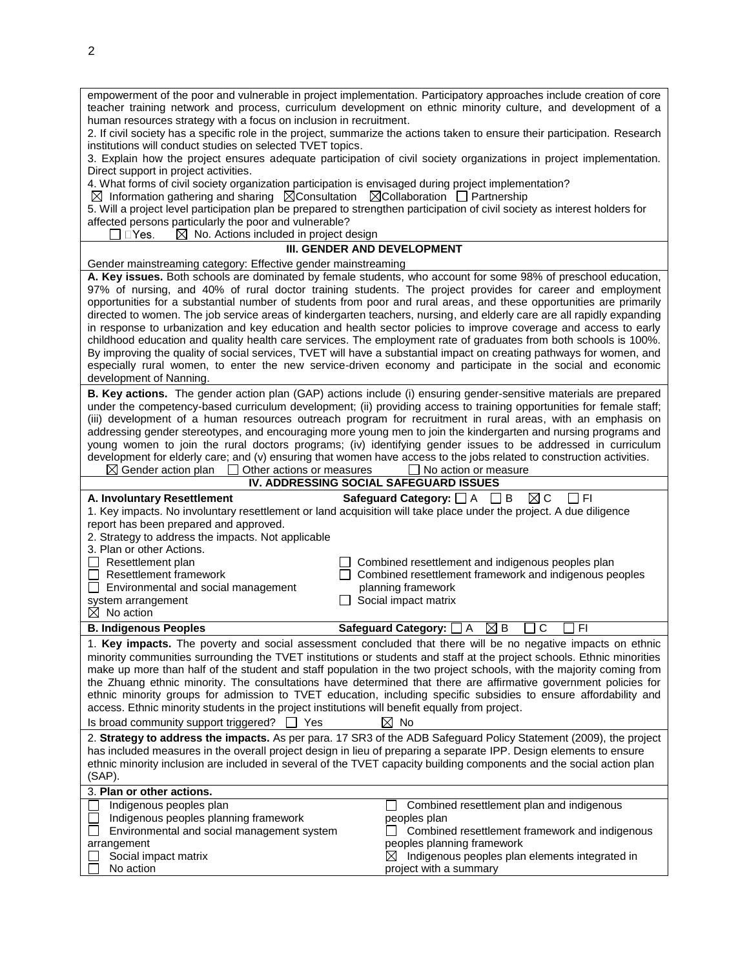| empowerment of the poor and vulnerable in project implementation. Participatory approaches include creation of core<br>teacher training network and process, curriculum development on ethnic minority culture, and development of a<br>human resources strategy with a focus on inclusion in recruitment.                                                                                                                                                                                                                                                                                                                                                                                                                                                                                                                                                                                                                                                                             |                                                                                                             |  |  |  |  |
|----------------------------------------------------------------------------------------------------------------------------------------------------------------------------------------------------------------------------------------------------------------------------------------------------------------------------------------------------------------------------------------------------------------------------------------------------------------------------------------------------------------------------------------------------------------------------------------------------------------------------------------------------------------------------------------------------------------------------------------------------------------------------------------------------------------------------------------------------------------------------------------------------------------------------------------------------------------------------------------|-------------------------------------------------------------------------------------------------------------|--|--|--|--|
| 2. If civil society has a specific role in the project, summarize the actions taken to ensure their participation. Research<br>institutions will conduct studies on selected TVET topics.                                                                                                                                                                                                                                                                                                                                                                                                                                                                                                                                                                                                                                                                                                                                                                                              |                                                                                                             |  |  |  |  |
| 3. Explain how the project ensures adequate participation of civil society organizations in project implementation.                                                                                                                                                                                                                                                                                                                                                                                                                                                                                                                                                                                                                                                                                                                                                                                                                                                                    |                                                                                                             |  |  |  |  |
| Direct support in project activities.<br>4. What forms of civil society organization participation is envisaged during project implementation?                                                                                                                                                                                                                                                                                                                                                                                                                                                                                                                                                                                                                                                                                                                                                                                                                                         |                                                                                                             |  |  |  |  |
| $\boxtimes$ Information gathering and sharing $\boxtimes$ Consultation $\boxtimes$ Collaboration $\Box$ Partnership                                                                                                                                                                                                                                                                                                                                                                                                                                                                                                                                                                                                                                                                                                                                                                                                                                                                    |                                                                                                             |  |  |  |  |
| 5. Will a project level participation plan be prepared to strengthen participation of civil society as interest holders for<br>affected persons particularly the poor and vulnerable?                                                                                                                                                                                                                                                                                                                                                                                                                                                                                                                                                                                                                                                                                                                                                                                                  |                                                                                                             |  |  |  |  |
| $\boxtimes$ No. Actions included in project design<br>$\square$ Yes.                                                                                                                                                                                                                                                                                                                                                                                                                                                                                                                                                                                                                                                                                                                                                                                                                                                                                                                   |                                                                                                             |  |  |  |  |
| III. GENDER AND DEVELOPMENT                                                                                                                                                                                                                                                                                                                                                                                                                                                                                                                                                                                                                                                                                                                                                                                                                                                                                                                                                            |                                                                                                             |  |  |  |  |
| Gender mainstreaming category: Effective gender mainstreaming                                                                                                                                                                                                                                                                                                                                                                                                                                                                                                                                                                                                                                                                                                                                                                                                                                                                                                                          |                                                                                                             |  |  |  |  |
| A. Key issues. Both schools are dominated by female students, who account for some 98% of preschool education,<br>97% of nursing, and 40% of rural doctor training students. The project provides for career and employment<br>opportunities for a substantial number of students from poor and rural areas, and these opportunities are primarily<br>directed to women. The job service areas of kindergarten teachers, nursing, and elderly care are all rapidly expanding<br>in response to urbanization and key education and health sector policies to improve coverage and access to early<br>childhood education and quality health care services. The employment rate of graduates from both schools is 100%.<br>By improving the quality of social services, TVET will have a substantial impact on creating pathways for women, and<br>especially rural women, to enter the new service-driven economy and participate in the social and economic<br>development of Nanning. |                                                                                                             |  |  |  |  |
| B. Key actions. The gender action plan (GAP) actions include (i) ensuring gender-sensitive materials are prepared                                                                                                                                                                                                                                                                                                                                                                                                                                                                                                                                                                                                                                                                                                                                                                                                                                                                      |                                                                                                             |  |  |  |  |
| under the competency-based curriculum development; (ii) providing access to training opportunities for female staff;<br>(iii) development of a human resources outreach program for recruitment in rural areas, with an emphasis on                                                                                                                                                                                                                                                                                                                                                                                                                                                                                                                                                                                                                                                                                                                                                    |                                                                                                             |  |  |  |  |
| addressing gender stereotypes, and encouraging more young men to join the kindergarten and nursing programs and                                                                                                                                                                                                                                                                                                                                                                                                                                                                                                                                                                                                                                                                                                                                                                                                                                                                        |                                                                                                             |  |  |  |  |
| young women to join the rural doctors programs; (iv) identifying gender issues to be addressed in curriculum                                                                                                                                                                                                                                                                                                                                                                                                                                                                                                                                                                                                                                                                                                                                                                                                                                                                           |                                                                                                             |  |  |  |  |
| development for elderly care; and (v) ensuring that women have access to the jobs related to construction activities.<br>$\boxtimes$ Gender action plan<br>$\Box$ Other actions or measures<br>$\Box$ No action or measure                                                                                                                                                                                                                                                                                                                                                                                                                                                                                                                                                                                                                                                                                                                                                             |                                                                                                             |  |  |  |  |
|                                                                                                                                                                                                                                                                                                                                                                                                                                                                                                                                                                                                                                                                                                                                                                                                                                                                                                                                                                                        |                                                                                                             |  |  |  |  |
| IV. ADDRESSING SOCIAL SAFEGUARD ISSUES                                                                                                                                                                                                                                                                                                                                                                                                                                                                                                                                                                                                                                                                                                                                                                                                                                                                                                                                                 |                                                                                                             |  |  |  |  |
| A. Involuntary Resettlement                                                                                                                                                                                                                                                                                                                                                                                                                                                                                                                                                                                                                                                                                                                                                                                                                                                                                                                                                            | $\boxtimes$ C<br>Safeguard Category: $\Box$ A $\Box$ B<br>- I FI                                            |  |  |  |  |
| 1. Key impacts. No involuntary resettlement or land acquisition will take place under the project. A due diligence<br>report has been prepared and approved.                                                                                                                                                                                                                                                                                                                                                                                                                                                                                                                                                                                                                                                                                                                                                                                                                           |                                                                                                             |  |  |  |  |
| 2. Strategy to address the impacts. Not applicable                                                                                                                                                                                                                                                                                                                                                                                                                                                                                                                                                                                                                                                                                                                                                                                                                                                                                                                                     |                                                                                                             |  |  |  |  |
| 3. Plan or other Actions.                                                                                                                                                                                                                                                                                                                                                                                                                                                                                                                                                                                                                                                                                                                                                                                                                                                                                                                                                              |                                                                                                             |  |  |  |  |
| $\Box$ Resettlement plan<br>$\Box$ Resettlement framework                                                                                                                                                                                                                                                                                                                                                                                                                                                                                                                                                                                                                                                                                                                                                                                                                                                                                                                              | Combined resettlement and indigenous peoples plan<br>Combined resettlement framework and indigenous peoples |  |  |  |  |
| Environmental and social management                                                                                                                                                                                                                                                                                                                                                                                                                                                                                                                                                                                                                                                                                                                                                                                                                                                                                                                                                    | planning framework                                                                                          |  |  |  |  |
| system arrangement                                                                                                                                                                                                                                                                                                                                                                                                                                                                                                                                                                                                                                                                                                                                                                                                                                                                                                                                                                     | $\Box$ Social impact matrix                                                                                 |  |  |  |  |
| $\boxtimes$ No action<br><b>B. Indigenous Peoples</b>                                                                                                                                                                                                                                                                                                                                                                                                                                                                                                                                                                                                                                                                                                                                                                                                                                                                                                                                  | ⊠в<br>С<br>F <sub>1</sub><br>Safeguard Category: [<br>A                                                     |  |  |  |  |
| 1. Key impacts. The poverty and social assessment concluded that there will be no negative impacts on ethnic                                                                                                                                                                                                                                                                                                                                                                                                                                                                                                                                                                                                                                                                                                                                                                                                                                                                           |                                                                                                             |  |  |  |  |
| minority communities surrounding the TVET institutions or students and staff at the project schools. Ethnic minorities                                                                                                                                                                                                                                                                                                                                                                                                                                                                                                                                                                                                                                                                                                                                                                                                                                                                 |                                                                                                             |  |  |  |  |
| make up more than half of the student and staff population in the two project schools, with the majority coming from                                                                                                                                                                                                                                                                                                                                                                                                                                                                                                                                                                                                                                                                                                                                                                                                                                                                   |                                                                                                             |  |  |  |  |
| the Zhuang ethnic minority. The consultations have determined that there are affirmative government policies for<br>ethnic minority groups for admission to TVET education, including specific subsidies to ensure affordability and                                                                                                                                                                                                                                                                                                                                                                                                                                                                                                                                                                                                                                                                                                                                                   |                                                                                                             |  |  |  |  |
| access. Ethnic minority students in the project institutions will benefit equally from project.                                                                                                                                                                                                                                                                                                                                                                                                                                                                                                                                                                                                                                                                                                                                                                                                                                                                                        |                                                                                                             |  |  |  |  |
| Is broad community support triggered? $\Box$ Yes                                                                                                                                                                                                                                                                                                                                                                                                                                                                                                                                                                                                                                                                                                                                                                                                                                                                                                                                       | $\boxtimes$ No                                                                                              |  |  |  |  |
| 2. Strategy to address the impacts. As per para. 17 SR3 of the ADB Safeguard Policy Statement (2009), the project                                                                                                                                                                                                                                                                                                                                                                                                                                                                                                                                                                                                                                                                                                                                                                                                                                                                      |                                                                                                             |  |  |  |  |
| has included measures in the overall project design in lieu of preparing a separate IPP. Design elements to ensure<br>ethnic minority inclusion are included in several of the TVET capacity building components and the social action plan<br>(SAP).                                                                                                                                                                                                                                                                                                                                                                                                                                                                                                                                                                                                                                                                                                                                  |                                                                                                             |  |  |  |  |
| 3. Plan or other actions.                                                                                                                                                                                                                                                                                                                                                                                                                                                                                                                                                                                                                                                                                                                                                                                                                                                                                                                                                              |                                                                                                             |  |  |  |  |
| Indigenous peoples plan                                                                                                                                                                                                                                                                                                                                                                                                                                                                                                                                                                                                                                                                                                                                                                                                                                                                                                                                                                | Combined resettlement plan and indigenous                                                                   |  |  |  |  |
| Indigenous peoples planning framework<br>Environmental and social management system                                                                                                                                                                                                                                                                                                                                                                                                                                                                                                                                                                                                                                                                                                                                                                                                                                                                                                    | peoples plan<br>Combined resettlement framework and indigenous                                              |  |  |  |  |
| arrangement<br>Social impact matrix                                                                                                                                                                                                                                                                                                                                                                                                                                                                                                                                                                                                                                                                                                                                                                                                                                                                                                                                                    | peoples planning framework<br>Indigenous peoples plan elements integrated in<br>⊠                           |  |  |  |  |